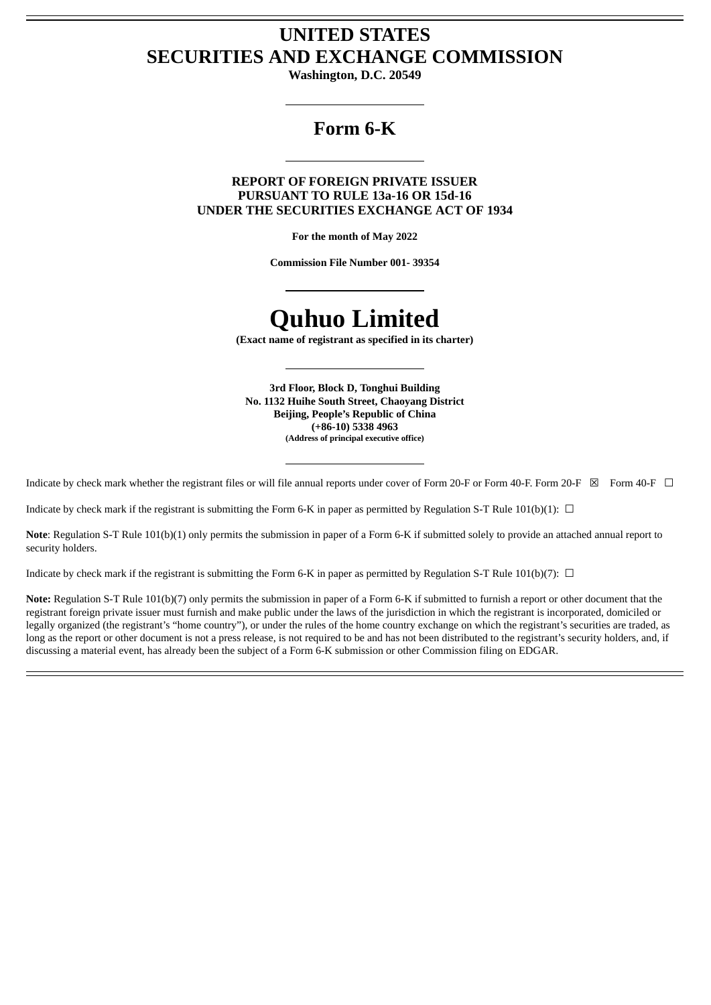# **UNITED STATES SECURITIES AND EXCHANGE COMMISSION**

**Washington, D.C. 20549**

# **Form 6-K**

# **REPORT OF FOREIGN PRIVATE ISSUER PURSUANT TO RULE 13a-16 OR 15d-16 UNDER THE SECURITIES EXCHANGE ACT OF 1934**

**For the month of May 2022**

**Commission File Number 001- 39354**

# **Quhuo Limited**

**(Exact name of registrant as specified in its charter)**

**3rd Floor, Block D, Tonghui Building No. 1132 Huihe South Street, Chaoyang District Beijing, People's Republic of China (+86-10) 5338 4963 (Address of principal executive office)**

Indicate by check mark whether the registrant files or will file annual reports under cover of Form 20-F or Form 40-F. Form 20-F  $\boxtimes$  Form 40-F  $\Box$ 

Indicate by check mark if the registrant is submitting the Form 6-K in paper as permitted by Regulation S-T Rule 101(b)(1):  $\Box$ 

**Note**: Regulation S-T Rule 101(b)(1) only permits the submission in paper of a Form 6-K if submitted solely to provide an attached annual report to security holders.

Indicate by check mark if the registrant is submitting the Form 6-K in paper as permitted by Regulation S-T Rule 101(b)(7):  $\Box$ 

**Note:** Regulation S-T Rule 101(b)(7) only permits the submission in paper of a Form 6-K if submitted to furnish a report or other document that the registrant foreign private issuer must furnish and make public under the laws of the jurisdiction in which the registrant is incorporated, domiciled or legally organized (the registrant's "home country"), or under the rules of the home country exchange on which the registrant's securities are traded, as long as the report or other document is not a press release, is not required to be and has not been distributed to the registrant's security holders, and, if discussing a material event, has already been the subject of a Form 6-K submission or other Commission filing on EDGAR.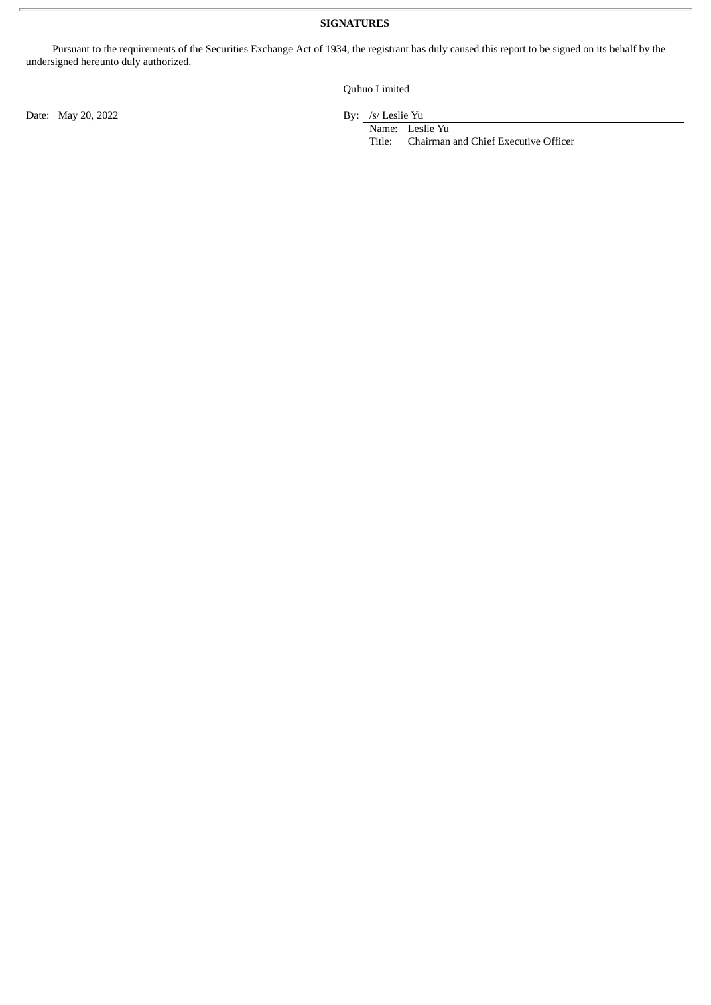## **SIGNATURES**

Pursuant to the requirements of the Securities Exchange Act of 1934, the registrant has duly caused this report to be signed on its behalf by the undersigned hereunto duly authorized.

Quhuo Limited

Date: May 20, 2022 By: /s/ Leslie Yu

Name: Leslie Yu<br>Title: Chairman Chairman and Chief Executive Officer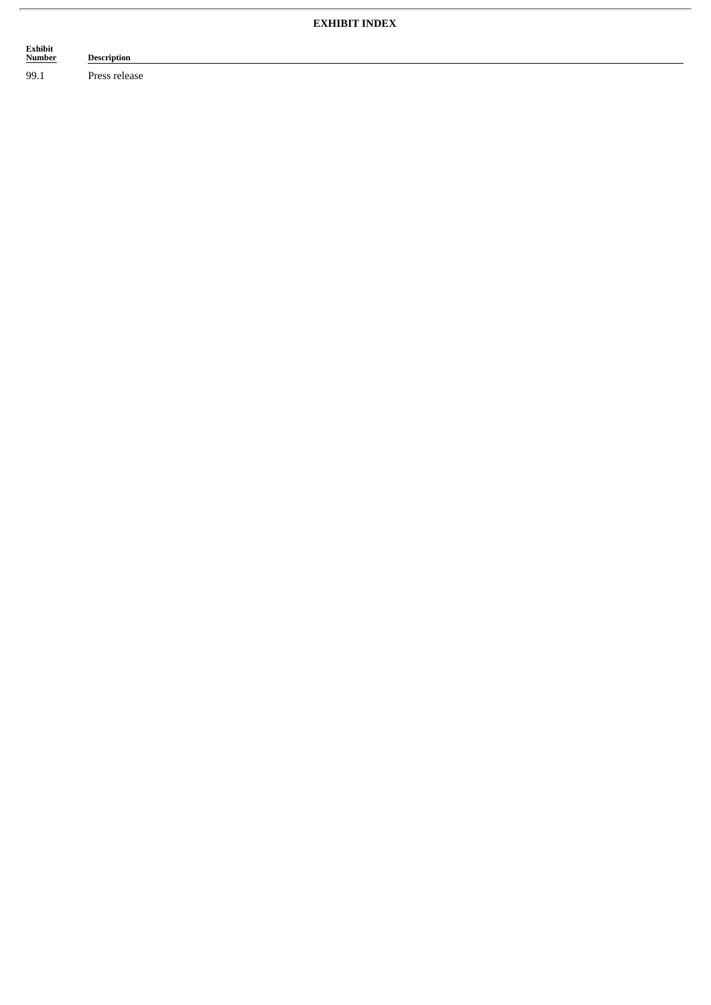# **EXHIBIT INDEX**

| Exhibit       | <b>Description</b>             |
|---------------|--------------------------------|
| <b>Number</b> | ้                              |
| 99.1          | $\sim$ $\sim$<br>Press release |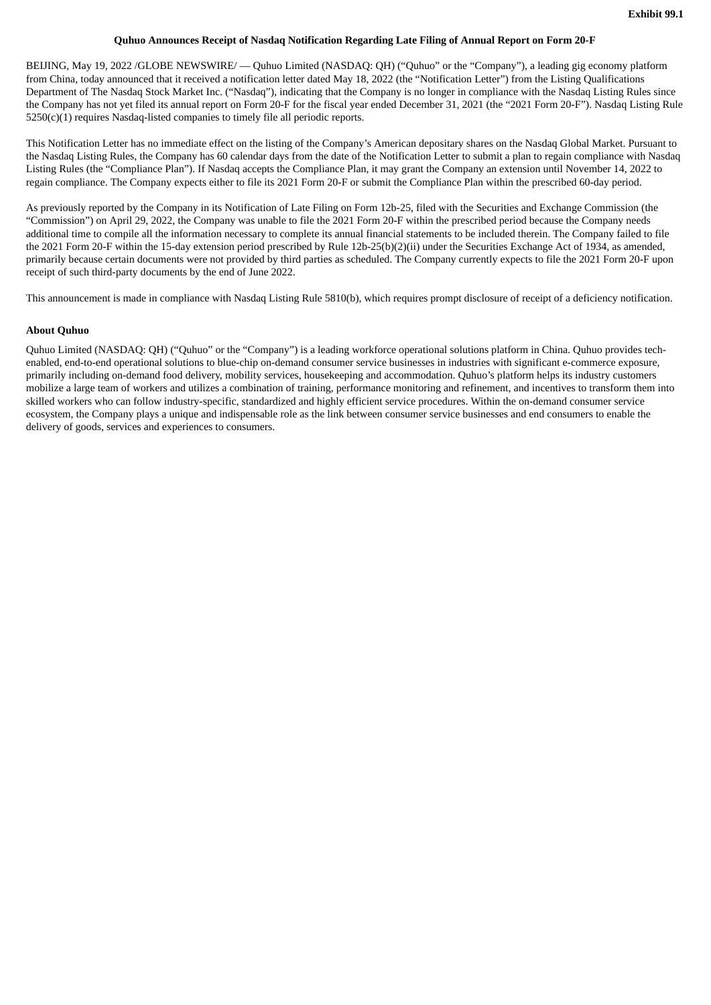### **Quhuo Announces Receipt of Nasdaq Notification Regarding Late Filing of Annual Report on Form 20-F**

BEIJING, May 19, 2022 /GLOBE NEWSWIRE/ — Quhuo Limited (NASDAQ: QH) ("Quhuo" or the "Company"), a leading gig economy platform from China, today announced that it received a notification letter dated May 18, 2022 (the "Notification Letter") from the Listing Qualifications Department of The Nasdaq Stock Market Inc. ("Nasdaq"), indicating that the Company is no longer in compliance with the Nasdaq Listing Rules since the Company has not yet filed its annual report on Form 20-F for the fiscal year ended December 31, 2021 (the "2021 Form 20-F"). Nasdaq Listing Rule 5250(c)(1) requires Nasdaq-listed companies to timely file all periodic reports.

This Notification Letter has no immediate effect on the listing of the Company's American depositary shares on the Nasdaq Global Market. Pursuant to the Nasdaq Listing Rules, the Company has 60 calendar days from the date of the Notification Letter to submit a plan to regain compliance with Nasdaq Listing Rules (the "Compliance Plan"). If Nasdaq accepts the Compliance Plan, it may grant the Company an extension until November 14, 2022 to regain compliance. The Company expects either to file its 2021 Form 20-F or submit the Compliance Plan within the prescribed 60-day period.

As previously reported by the Company in its Notification of Late Filing on Form 12b-25, filed with the Securities and Exchange Commission (the "Commission") on April 29, 2022, the Company was unable to file the 2021 Form 20-F within the prescribed period because the Company needs additional time to compile all the information necessary to complete its annual financial statements to be included therein. The Company failed to file the 2021 Form 20-F within the 15-day extension period prescribed by Rule 12b-25(b)(2)(ii) under the Securities Exchange Act of 1934, as amended, primarily because certain documents were not provided by third parties as scheduled. The Company currently expects to file the 2021 Form 20-F upon receipt of such third-party documents by the end of June 2022.

This announcement is made in compliance with Nasdaq Listing Rule 5810(b), which requires prompt disclosure of receipt of a deficiency notification.

### **About Quhuo**

Quhuo Limited (NASDAQ: QH) ("Quhuo" or the "Company") is a leading workforce operational solutions platform in China. Quhuo provides techenabled, end-to-end operational solutions to blue-chip on-demand consumer service businesses in industries with significant e-commerce exposure, primarily including on-demand food delivery, mobility services, housekeeping and accommodation. Quhuo's platform helps its industry customers mobilize a large team of workers and utilizes a combination of training, performance monitoring and refinement, and incentives to transform them into skilled workers who can follow industry-specific, standardized and highly efficient service procedures. Within the on-demand consumer service ecosystem, the Company plays a unique and indispensable role as the link between consumer service businesses and end consumers to enable the delivery of goods, services and experiences to consumers.